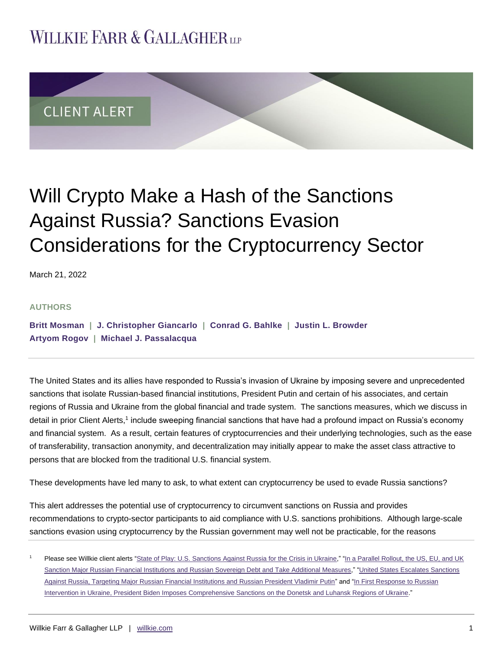## **WILLKIE FARR & GALLAGHERUP**



# Will Crypto Make a Hash of the Sanctions Against Russia? Sanctions Evasion Considerations for the Cryptocurrency Sector

March 21, 2022

#### **AUTHORS**

**[Britt Mosman](https://www.willkie.com/professionals/m/mosman-britt) | [J. Christopher Giancarlo](https://www.willkie.com/professionals/g/giancarlo-j-christopher) | [Conrad G. Bahlke](https://www.willkie.com/professionals/b/bahlke-conrad) | [Justin L. Browder](https://www.willkie.com/professionals/b/browder-justin) [Artyom Rogov](https://www.willkie.com/professionals/r/rogov-artyom) | [Michael J. Passalacqua](https://www.willkie.com/professionals/p/passalacqua-michael)**

The United States and its allies have responded to Russia's invasion of Ukraine by imposing severe and unprecedented sanctions that isolate Russian-based financial institutions, President Putin and certain of his associates, and certain regions of Russia and Ukraine from the global financial and trade system. The sanctions measures, which we discuss in detail in prior Client Alerts,<sup>1</sup> include sweeping financial sanctions that have had a profound impact on Russia's economy and financial system. As a result, certain features of cryptocurrencies and their underlying technologies, such as the ease of transferability, transaction anonymity, and decentralization may initially appear to make the asset class attractive to persons that are blocked from the traditional U.S. financial system.

These developments have led many to ask, to what extent can cryptocurrency be used to evade Russia sanctions?

This alert addresses the potential use of cryptocurrency to circumvent sanctions on Russia and provides recommendations to crypto-sector participants to aid compliance with U.S. sanctions prohibitions. Although large-scale sanctions evasion using cryptocurrency by the Russian government may well not be practicable, for the reasons

Please see Willkie client alerts ["State of Play: U.S. Sanctions Against Russia for the Crisis in Ukraine,](https://www.willkie.com/-/media/files/publications/2022/stateofplayussanctionsagainstrussiaforthecrisisinu.pdf)" "In a Parallel Rollout, the US, EU, and UK [Sanction Major Russian Financial Institutions and Russian Sovereign Debt and Take Additional Measures,"](https://www.willkie.com/-/media/files/publications/2022/inaparallelrollouttheuseuanduksanctionmajorrussian.pdf) ["United States Escalates Sanctions](https://www.willkie.com/-/media/files/publications/2022/unitedstatesescalatessanctionsagainstrussiatargeti.pdf)  [Against Russia, Targeting Major Russian Financial Institutions and Russian President Vladimir Putin"](https://www.willkie.com/-/media/files/publications/2022/unitedstatesescalatessanctionsagainstrussiatargeti.pdf) and "In First Response to Russian [Intervention in Ukraine, President Biden Imposes Comprehensive Sanctions on the Donetsk and Luhansk Regions of Ukraine."](https://www.willkie.com/-/media/files/publications/2022/infirstresponsetorussianinterventioninukrainepresi.pdf)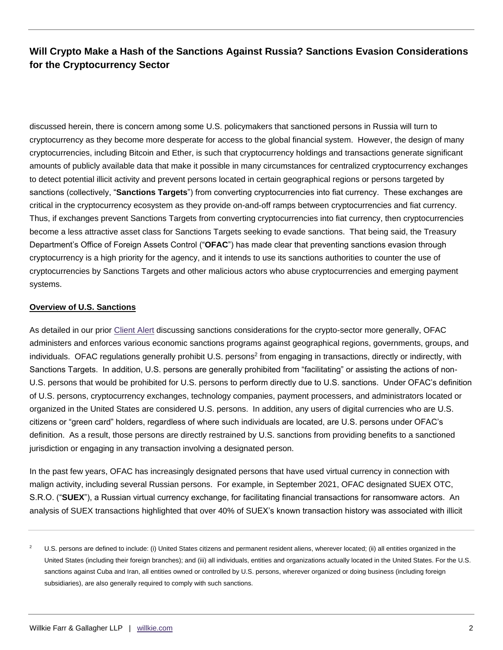discussed herein, there is concern among some U.S. policymakers that sanctioned persons in Russia will turn to cryptocurrency as they become more desperate for access to the global financial system. However, the design of many cryptocurrencies, including Bitcoin and Ether, is such that cryptocurrency holdings and transactions generate significant amounts of publicly available data that make it possible in many circumstances for centralized cryptocurrency exchanges to detect potential illicit activity and prevent persons located in certain geographical regions or persons targeted by sanctions (collectively, "**Sanctions Targets**") from converting cryptocurrencies into fiat currency. These exchanges are critical in the cryptocurrency ecosystem as they provide on-and-off ramps between cryptocurrencies and fiat currency. Thus, if exchanges prevent Sanctions Targets from converting cryptocurrencies into fiat currency, then cryptocurrencies become a less attractive asset class for Sanctions Targets seeking to evade sanctions. That being said, the Treasury Department's Office of Foreign Assets Control ("**OFAC**") has made clear that preventing sanctions evasion through cryptocurrency is a high priority for the agency, and it intends to use its sanctions authorities to counter the use of cryptocurrencies by Sanctions Targets and other malicious actors who abuse cryptocurrencies and emerging payment systems.

#### **Overview of U.S. Sanctions**

As detailed in our prior [Client Alert](https://www.willkie.com/-/media/files/publications/2021/09/updateofacsanctionsconsiderationscryptosector.pdf) discussing sanctions considerations for the crypto-sector more generally, OFAC administers and enforces various economic sanctions programs against geographical regions, governments, groups, and individuals. OFAC regulations generally prohibit U.S. persons<sup>2</sup> from engaging in transactions, directly or indirectly, with Sanctions Targets. In addition, U.S. persons are generally prohibited from "facilitating" or assisting the actions of non-U.S. persons that would be prohibited for U.S. persons to perform directly due to U.S. sanctions. Under OFAC's definition of U.S. persons, cryptocurrency exchanges, technology companies, payment processers, and administrators located or organized in the United States are considered U.S. persons. In addition, any users of digital currencies who are U.S. citizens or "green card" holders, regardless of where such individuals are located, are U.S. persons under OFAC's definition. As a result, those persons are directly restrained by U.S. sanctions from providing benefits to a sanctioned jurisdiction or engaging in any transaction involving a designated person.

In the past few years, OFAC has increasingly designated persons that have used virtual currency in connection with malign activity, including several Russian persons. For example, in September 2021, OFAC designated SUEX OTC, S.R.O. ("**SUEX**"), a Russian virtual currency exchange, for facilitating financial transactions for ransomware actors. An analysis of SUEX transactions highlighted that over 40% of SUEX's known transaction history was associated with illicit

<sup>&</sup>lt;sup>2</sup> U.S. persons are defined to include: (i) United States citizens and permanent resident aliens, wherever located; (ii) all entities organized in the United States (including their foreign branches); and (iii) all individuals, entities and organizations actually located in the United States. For the U.S. sanctions against Cuba and Iran, all entities owned or controlled by U.S. persons, wherever organized or doing business (including foreign subsidiaries), are also generally required to comply with such sanctions.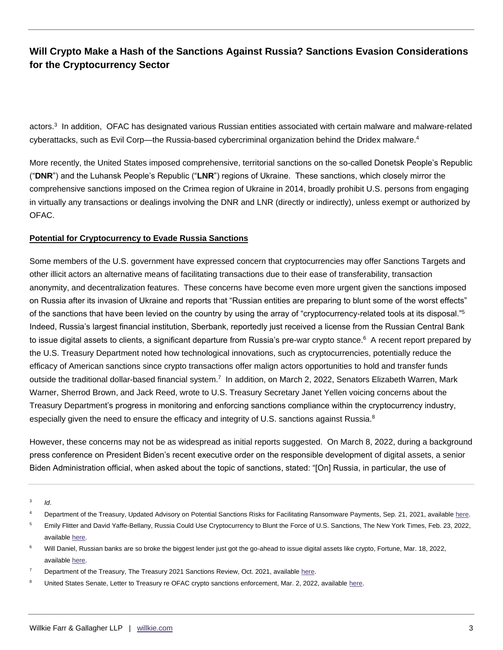actors.<sup>3</sup> In addition, OFAC has designated various Russian entities associated with certain malware and malware-related cyberattacks, such as Evil Corp—the Russia-based cybercriminal organization behind the Dridex malware.<sup>4</sup>

More recently, the United States imposed comprehensive, territorial sanctions on the so-called Donetsk People's Republic ("**DNR**") and the Luhansk People's Republic ("**LNR**") regions of Ukraine. These sanctions, which closely mirror the comprehensive sanctions imposed on the Crimea region of Ukraine in 2014, broadly prohibit U.S. persons from engaging in virtually any transactions or dealings involving the DNR and LNR (directly or indirectly), unless exempt or authorized by OFAC.

#### **Potential for Cryptocurrency to Evade Russia Sanctions**

Some members of the U.S. government have expressed concern that cryptocurrencies may offer Sanctions Targets and other illicit actors an alternative means of facilitating transactions due to their ease of transferability, transaction anonymity, and decentralization features. These concerns have become even more urgent given the sanctions imposed on Russia after its invasion of Ukraine and reports that "Russian entities are preparing to blunt some of the worst effects" of the sanctions that have been levied on the country by using the array of "cryptocurrency-related tools at its disposal."<sup>5</sup> Indeed, Russia's largest financial institution, Sberbank, reportedly just received a license from the Russian Central Bank to issue digital assets to clients, a significant departure from Russia's pre-war crypto stance.<sup>6</sup> A recent report prepared by the U.S. Treasury Department noted how technological innovations, such as cryptocurrencies, potentially reduce the efficacy of American sanctions since crypto transactions offer malign actors opportunities to hold and transfer funds outside the traditional dollar-based financial system.<sup>7</sup> In addition, on March 2, 2022, Senators Elizabeth Warren, Mark Warner, Sherrod Brown, and Jack Reed, wrote to U.S. Treasury Secretary Janet Yellen voicing concerns about the Treasury Department's progress in monitoring and enforcing sanctions compliance within the cryptocurrency industry, especially given the need to ensure the efficacy and integrity of U.S. sanctions against Russia.<sup>8</sup>

However, these concerns may not be as widespread as initial reports suggested. On March 8, 2022, during a background press conference on President Biden's recent executive order on the responsible development of digital assets, a senior Biden Administration official, when asked about the topic of sanctions, stated: "[On] Russia, in particular, the use of

3 *Id*.

<sup>5</sup> Emily Flitter and David Yaffe-Bellany, Russia Could Use Cryptocurrency to Blunt the Force of U.S. Sanctions, The New York Times, Feb. 23, 2022, available [here.](https://www.nytimes.com/2022/02/23/business/russia-sanctions-cryptocurrency.html)

<sup>6</sup> Will Daniel, Russian banks are so broke the biggest lender just got the go-ahead to issue digital assets like crypto, Fortune, Mar. 18, 2022, available [here.](https://fortune.com/2022/03/18/russia-crypto-banks-broke-issue-digital-assets-crypto/)

United States Senate, Letter to Treasury re OFAC crypto sanctions enforcement, Mar. 2, 2022, available here.

<sup>&</sup>lt;sup>4</sup> Department of the Treasury, Updated Advisory on Potential Sanctions Risks for Facilitating Ransomware Payments, Sep. 21, 2021, availabl[e here.](https://home.treasury.gov/system/files/126/ofac_ransomware_advisory.pdf)

Department of the Treasury, The Treasury 2021 Sanctions Review, Oct. 2021, available [here.](https://home.treasury.gov/system/files/136/Treasury-2021-sanctions-review.pdf)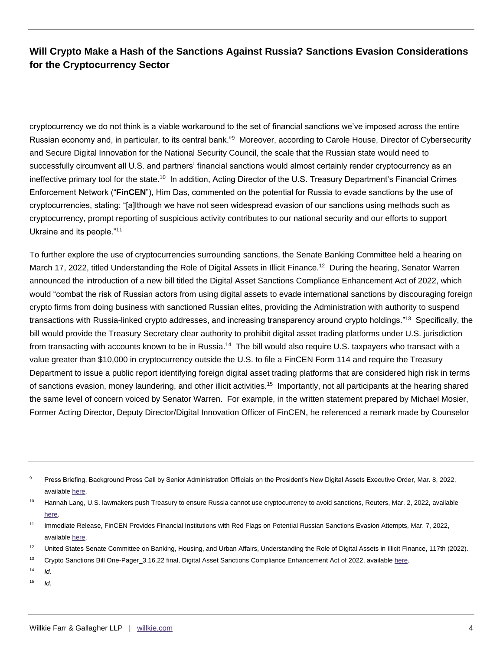cryptocurrency we do not think is a viable workaround to the set of financial sanctions we've imposed across the entire Russian economy and, in particular, to its central bank."<sup>9</sup> Moreover, according to Carole House, Director of Cybersecurity and Secure Digital Innovation for the National Security Council, the scale that the Russian state would need to successfully circumvent all U.S. and partners' financial sanctions would almost certainly render cryptocurrency as an ineffective primary tool for the state.<sup>10</sup> In addition, Acting Director of the U.S. Treasury Department's Financial Crimes Enforcement Network ("**FinCEN**"), Him Das, commented on the potential for Russia to evade sanctions by the use of cryptocurrencies, stating: "[a]lthough we have not seen widespread evasion of our sanctions using methods such as cryptocurrency, prompt reporting of suspicious activity contributes to our national security and our efforts to support Ukraine and its people."<sup>11</sup>

To further explore the use of cryptocurrencies surrounding sanctions, the Senate Banking Committee held a hearing on March 17, 2022, titled Understanding the Role of Digital Assets in Illicit Finance.<sup>12</sup> During the hearing, Senator Warren announced the introduction of a new bill titled the Digital Asset Sanctions Compliance Enhancement Act of 2022, which would "combat the risk of Russian actors from using digital assets to evade international sanctions by discouraging foreign crypto firms from doing business with sanctioned Russian elites, providing the Administration with authority to suspend transactions with Russia-linked crypto addresses, and increasing transparency around crypto holdings."<sup>13</sup> Specifically, the bill would provide the Treasury Secretary clear authority to prohibit digital asset trading platforms under U.S. jurisdiction from transacting with accounts known to be in Russia.<sup>14</sup> The bill would also require U.S. taxpayers who transact with a value greater than \$10,000 in cryptocurrency outside the U.S. to file a FinCEN Form 114 and require the Treasury Department to issue a public report identifying foreign digital asset trading platforms that are considered high risk in terms of sanctions evasion, money laundering, and other illicit activities.<sup>15</sup> Importantly, not all participants at the hearing shared the same level of concern voiced by Senator Warren. For example, in the written statement prepared by Michael Mosier, Former Acting Director, Deputy Director/Digital Innovation Officer of FinCEN, he referenced a remark made by Counselor

- $14$  *Id.*
- $15$  *Id.*

<sup>&</sup>lt;sup>9</sup> Press Briefing, Background Press Call by Senior Administration Officials on the President's New Digital Assets Executive Order, Mar. 8, 2022, available [here.](https://www.whitehouse.gov/briefing-room/press-briefings/2022/03/09/background-press-call-by-senior-administration-officials-on-the-presidents-new-digital-assets-executive-order/)

<sup>&</sup>lt;sup>10</sup> Hannah Lang, U.S. lawmakers push Treasury to ensure Russia cannot use cryptocurrency to avoid sanctions, Reuters, Mar. 2, 2022, available [here.](https://www.reuters.com/world/us/us-lawmakers-push-treasury-ensure-russia-cannot-use-cryptocurrency-avoid-2022-03-02/)

<sup>11</sup> Immediate Release, FinCEN Provides Financial Institutions with Red Flags on Potential Russian Sanctions Evasion Attempts, Mar. 7, 2022, available [here.](https://www.fincen.gov/news/news-releases/fincen-provides-financial-institutions-red-flags-potential-russian-sanctions)

<sup>&</sup>lt;sup>12</sup> United States Senate Committee on Banking, Housing, and Urban Affairs, Understanding the Role of Digital Assets in Illicit Finance, 117th (2022).

<sup>&</sup>lt;sup>13</sup> Crypto Sanctions Bill One-Pager\_3.16.22 final, Digital Asset Sanctions Compliance Enhancement Act of 2022, available here.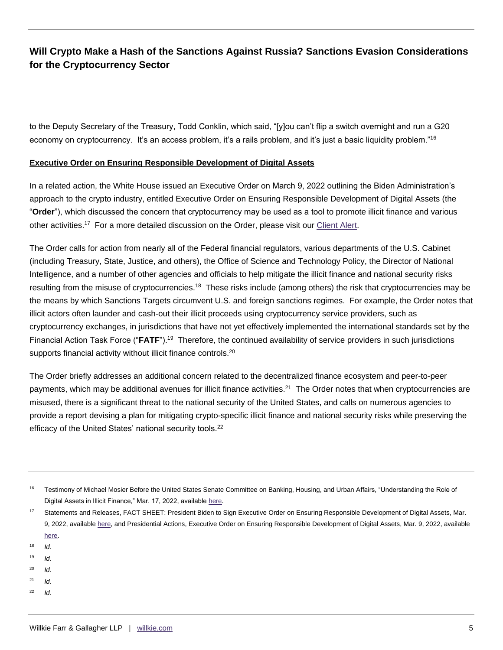to the Deputy Secretary of the Treasury, Todd Conklin, which said, "[y]ou can't flip a switch overnight and run a G20 economy on cryptocurrency. It's an access problem, it's a rails problem, and it's just a basic liquidity problem."<sup>16</sup>

#### **Executive Order on Ensuring Responsible Development of Digital Assets**

In a related action, the White House issued an Executive Order on March 9, 2022 outlining the Biden Administration's approach to the crypto industry, entitled Executive Order on Ensuring Responsible Development of Digital Assets (the "**Order**"), which discussed the concern that cryptocurrency may be used as a tool to promote illicit finance and various other activities.<sup>17</sup> For a more detailed discussion on the Order, please visit our [Client Alert.](https://www.willkie.com/-/media/files/publications/2022/bidenadministrationcallsforwholeofgovernmentreview.pdf)

The Order calls for action from nearly all of the Federal financial regulators, various departments of the U.S. Cabinet (including Treasury, State, Justice, and others), the Office of Science and Technology Policy, the Director of National Intelligence, and a number of other agencies and officials to help mitigate the illicit finance and national security risks resulting from the misuse of cryptocurrencies.<sup>18</sup> These risks include (among others) the risk that cryptocurrencies may be the means by which Sanctions Targets circumvent U.S. and foreign sanctions regimes. For example, the Order notes that illicit actors often launder and cash-out their illicit proceeds using cryptocurrency service providers, such as cryptocurrency exchanges, in jurisdictions that have not yet effectively implemented the international standards set by the Financial Action Task Force ("FATF").<sup>19</sup> Therefore, the continued availability of service providers in such jurisdictions supports financial activity without illicit finance controls.<sup>20</sup>

The Order briefly addresses an additional concern related to the decentralized finance ecosystem and peer-to-peer payments, which may be additional avenues for illicit finance activities.<sup>21</sup> The Order notes that when cryptocurrencies are misused, there is a significant threat to the national security of the United States, and calls on numerous agencies to provide a report devising a plan for mitigating crypto-specific illicit finance and national security risks while preserving the efficacy of the United States' national security tools.<sup>22</sup>

- $18$  *Id.*
- <sup>19</sup> *Id*.
- <sup>20</sup> *Id*.
- <sup>21</sup> *Id*.
- <sup>22</sup> *Id*.

<sup>&</sup>lt;sup>16</sup> Testimony of Michael Mosier Before the United States Senate Committee on Banking, Housing, and Urban Affairs, "Understanding the Role of Digital Assets in Illicit Finance," Mar. 17, 2022, available [here.](https://www.banking.senate.gov/imo/media/doc/Mosier%20Testimony%203-17-22.pdf)

<sup>&</sup>lt;sup>17</sup> Statements and Releases, FACT SHEET: President Biden to Sign Executive Order on Ensuring Responsible Development of Digital Assets, Mar. 9, 2022, available [here,](https://www.whitehouse.gov/briefing-room/statements-releases/2022/03/09/fact-sheet-president-biden-to-sign-executive-order-on-ensuring-responsible-innovation-in-digital-assets/) and Presidential Actions, Executive Order on Ensuring Responsible Development of Digital Assets, Mar. 9, 2022, available [here.](https://www.whitehouse.gov/briefing-room/presidential-actions/2022/03/09/executive-order-on-ensuring-responsible-development-of-digital-assets/)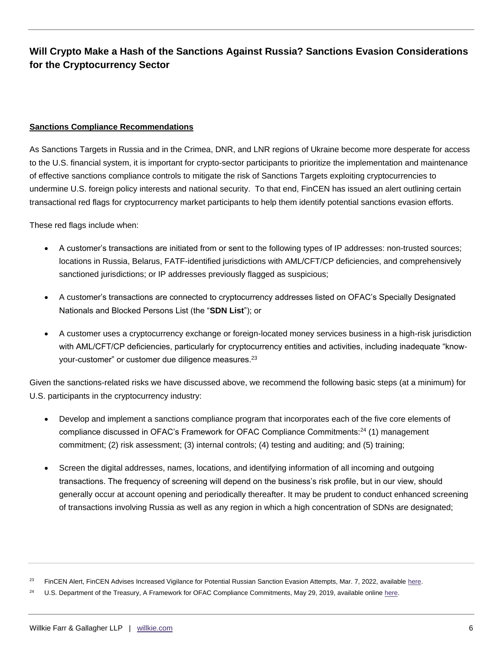#### **Sanctions Compliance Recommendations**

As Sanctions Targets in Russia and in the Crimea, DNR, and LNR regions of Ukraine become more desperate for access to the U.S. financial system, it is important for crypto-sector participants to prioritize the implementation and maintenance of effective sanctions compliance controls to mitigate the risk of Sanctions Targets exploiting cryptocurrencies to undermine U.S. foreign policy interests and national security. To that end, FinCEN has issued an alert outlining certain transactional red flags for cryptocurrency market participants to help them identify potential sanctions evasion efforts.

These red flags include when:

- A customer's transactions are initiated from or sent to the following types of IP addresses: non-trusted sources; locations in Russia, Belarus, FATF-identified jurisdictions with AML/CFT/CP deficiencies, and comprehensively sanctioned jurisdictions; or IP addresses previously flagged as suspicious;
- A customer's transactions are connected to cryptocurrency addresses listed on OFAC's Specially Designated Nationals and Blocked Persons List (the "**SDN List**"); or
- A customer uses a cryptocurrency exchange or foreign-located money services business in a high-risk jurisdiction with AML/CFT/CP deficiencies, particularly for cryptocurrency entities and activities, including inadequate "knowyour-customer" or customer due diligence measures.<sup>23</sup>

Given the sanctions-related risks we have discussed above, we recommend the following basic steps (at a minimum) for U.S. participants in the cryptocurrency industry:

- Develop and implement a sanctions compliance program that incorporates each of the five core elements of compliance discussed in OFAC's Framework for OFAC Compliance Commitments:<sup>24</sup> (1) management commitment; (2) risk assessment; (3) internal controls; (4) testing and auditing; and (5) training;
- Screen the digital addresses, names, locations, and identifying information of all incoming and outgoing transactions. The frequency of screening will depend on the business's risk profile, but in our view, should generally occur at account opening and periodically thereafter. It may be prudent to conduct enhanced screening of transactions involving Russia as well as any region in which a high concentration of SDNs are designated;

FinCEN Alert, FinCEN Advises Increased Vigilance for Potential Russian Sanction Evasion Attempts, Mar. 7, 2022, available [here.](https://www.fincen.gov/sites/default/files/2022-03/FinCEN%20Alert%20Russian%20Sanctions%20Evasion%20FINAL%20508.pdf)

U.S. Department of the Treasury, A Framework for OFAC Compliance Commitments, May 29, 2019, available online here.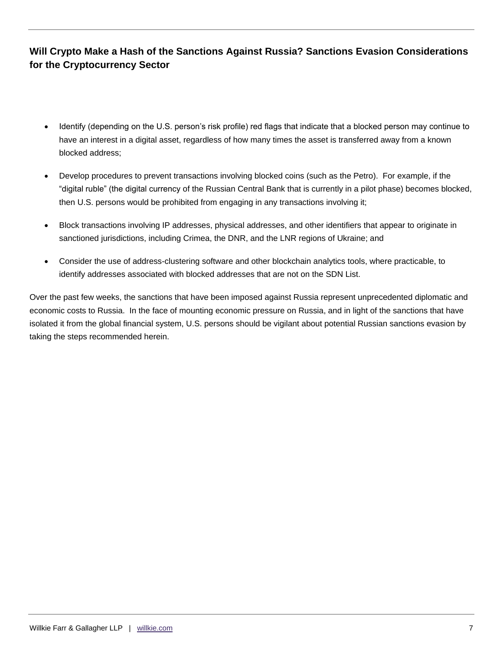- Identify (depending on the U.S. person's risk profile) red flags that indicate that a blocked person may continue to have an interest in a digital asset, regardless of how many times the asset is transferred away from a known blocked address;
- Develop procedures to prevent transactions involving blocked coins (such as the Petro). For example, if the "digital ruble" (the digital currency of the Russian Central Bank that is currently in a pilot phase) becomes blocked, then U.S. persons would be prohibited from engaging in any transactions involving it;
- Block transactions involving IP addresses, physical addresses, and other identifiers that appear to originate in sanctioned jurisdictions, including Crimea, the DNR, and the LNR regions of Ukraine; and
- Consider the use of address-clustering software and other blockchain analytics tools, where practicable, to identify addresses associated with blocked addresses that are not on the SDN List.

Over the past few weeks, the sanctions that have been imposed against Russia represent unprecedented diplomatic and economic costs to Russia. In the face of mounting economic pressure on Russia, and in light of the sanctions that have isolated it from the global financial system, U.S. persons should be vigilant about potential Russian sanctions evasion by taking the steps recommended herein.